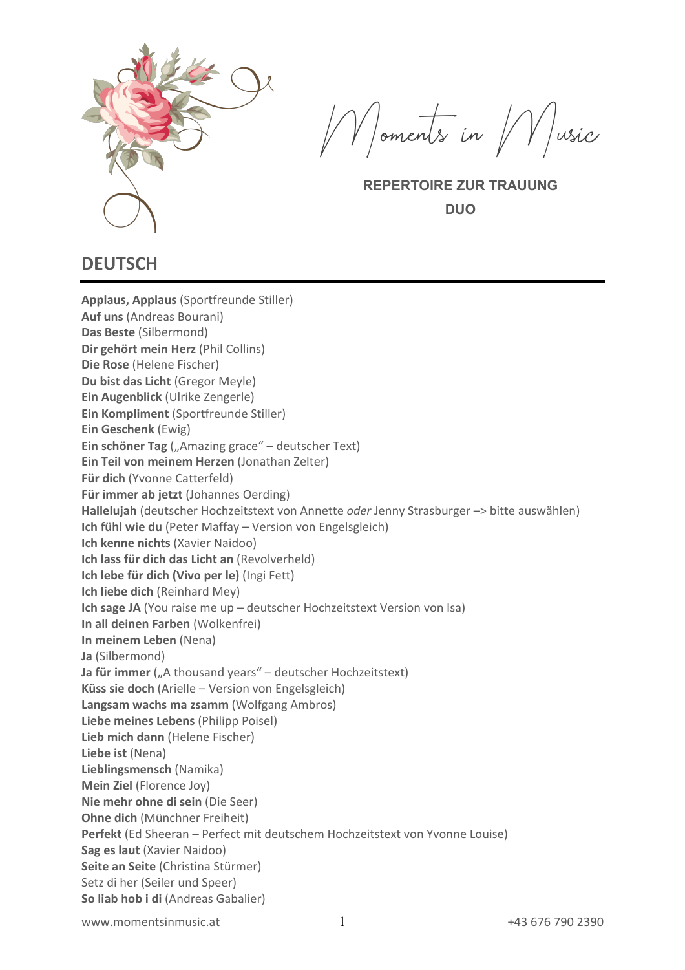

Moments in Music

**REPERTOIRE ZUR TRAUUNG DUO**

### **DEUTSCH**

**Applaus, Applaus** (Sportfreunde Stiller) **Auf uns** (Andreas Bourani) **Das Beste** (Silbermond) **Dir gehört mein Herz** (Phil Collins) **Die Rose** (Helene Fischer) **Du bist das Licht** (Gregor Meyle) **Ein Augenblick** (Ulrike Zengerle) **Ein Kompliment** (Sportfreunde Stiller) **Ein Geschenk** (Ewig) **Ein schöner Tag** ("Amazing grace" – deutscher Text) **Ein Teil von meinem Herzen** (Jonathan Zelter) **Für dich** (Yvonne Catterfeld) **Für immer ab jetzt** (Johannes Oerding) **Hallelujah** (deutscher Hochzeitstext von Annette *oder* Jenny Strasburger –> bitte auswählen) **Ich fühl wie du** (Peter Maffay – Version von Engelsgleich) **Ich kenne nichts** (Xavier Naidoo) **Ich lass für dich das Licht an** (Revolverheld) **Ich lebe für dich (Vivo per le)** (Ingi Fett) **Ich liebe dich** (Reinhard Mey) **Ich sage JA** (You raise me up – deutscher Hochzeitstext Version von Isa) **In all deinen Farben** (Wolkenfrei) **In meinem Leben** (Nena) **Ja** (Silbermond) **Ja für immer** ("A thousand years" – deutscher Hochzeitstext) **Küss sie doch** (Arielle – Version von Engelsgleich) **Langsam wachs ma zsamm** (Wolfgang Ambros) **Liebe meines Lebens** (Philipp Poisel) **Lieb mich dann** (Helene Fischer) **Liebe ist** (Nena) **Lieblingsmensch** (Namika) **Mein Ziel** (Florence Joy) **Nie mehr ohne di sein** (Die Seer) **Ohne dich** (Münchner Freiheit) **Perfekt** (Ed Sheeran – Perfect mit deutschem Hochzeitstext von Yvonne Louise) **Sag es laut** (Xavier Naidoo) **Seite an Seite** (Christina Stürmer) Setz di her (Seiler und Speer) **So liab hob i di** (Andreas Gabalier)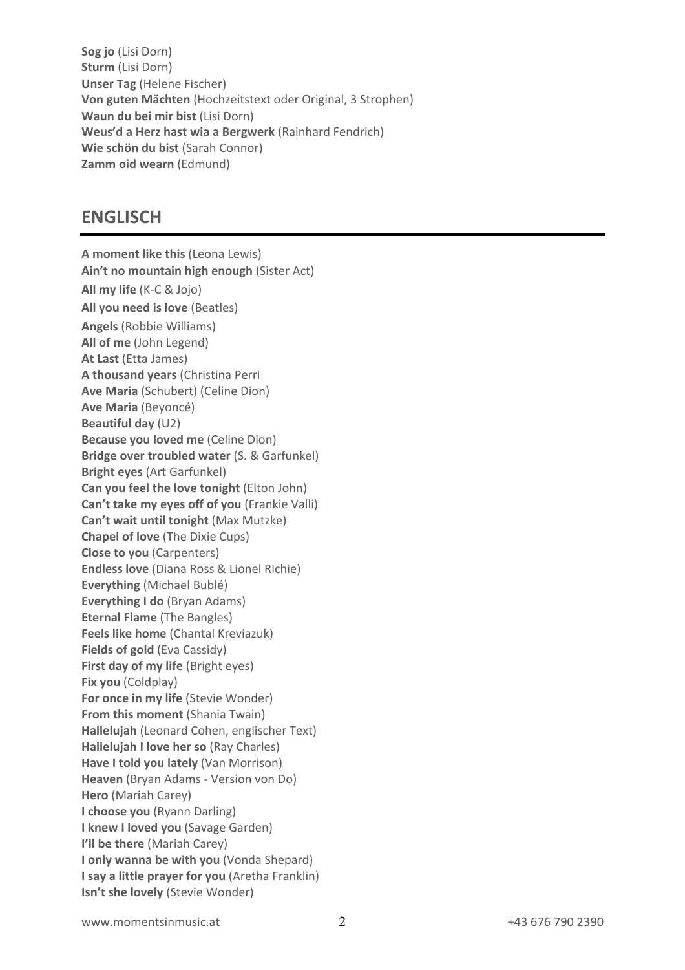**Sog jo** (Lisi Dorn) **Sturm** (Lisi Dorn) **Unser Tag** (Helene Fischer) **Von guten Mächten** (Hochzeitstext oder Original, 3 Strophen) **Waun du bei mir bist** (Lisi Dorn) **Weus'd a Herz hast wia a Bergwerk** (Rainhard Fendrich) **Wie schön du bist** (Sarah Connor) **Zamm oid wearn** (Edmund)

### **ENGLISCH**

**A moment like this** (Leona Lewis) **Ain't no mountain high enough** (Sister Act) **All my life** (K-C & Jojo) **All you need is love** (Beatles) **Angels** (Robbie Williams) **All of me** (John Legend) **At Last** (Etta James) **A thousand years** (Christina Perri **Ave Maria** (Schubert) (Celine Dion) **Ave Maria** (Beyoncé) **Beautiful day** (U2) **Because you loved me** (Celine Dion) **Bridge over troubled water** (S. & Garfunkel) **Bright eyes** (Art Garfunkel) **Can you feel the love tonight** (Elton John) **Can't take my eyes off of you** (Frankie Valli) **Can't wait until tonight** (Max Mutzke) **Chapel of love** (The Dixie Cups) **Close to you** (Carpenters) **Endless love** (Diana Ross & Lionel Richie) **Everything** (Michael Bublé) **Everything I do** (Bryan Adams) **Eternal Flame** (The Bangles) **Feels like home** (Chantal Kreviazuk) **Fields of gold** (Eva Cassidy) **First day of my life** (Bright eyes) **Fix you** (Coldplay) **For once in my life** (Stevie Wonder) **From this moment** (Shania Twain) **Hallelujah** (Leonard Cohen, englischer Text) **Hallelujah I love her so** (Ray Charles) **Have I told you lately** (Van Morrison) **Heaven** (Bryan Adams - Version von Do) **Hero** (Mariah Carey) **I choose you** (Ryann Darling) **I knew I loved you** (Savage Garden) **I'll be there** (Mariah Carey) **I only wanna be with you** (Vonda Shepard) **I say a little prayer for you** (Aretha Franklin) **Isn't she lovely** (Stevie Wonder)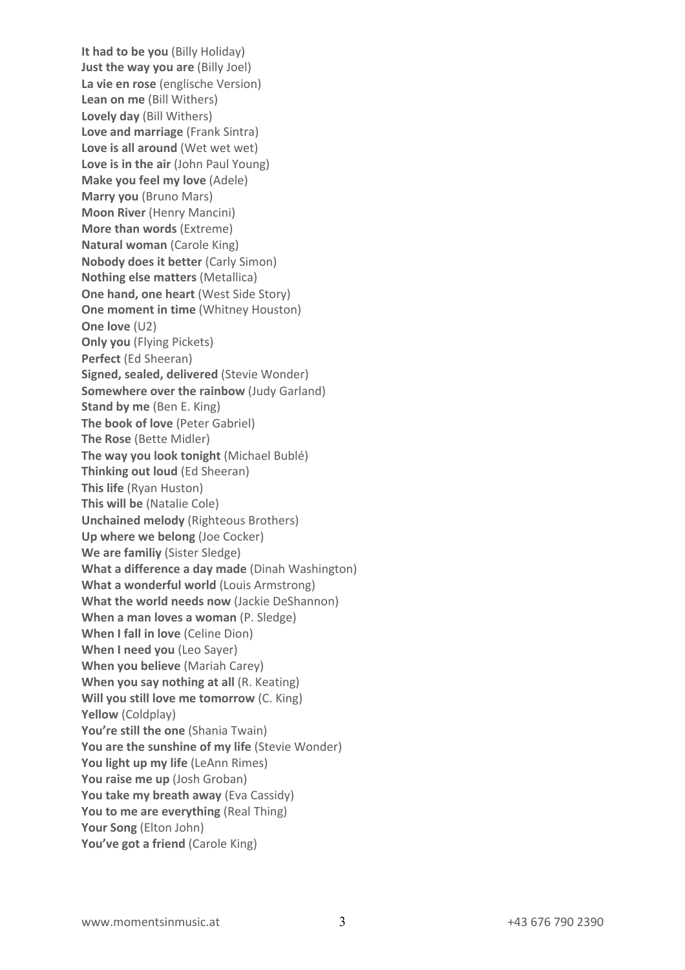**It had to be you** (Billy Holiday) **Just the way you are** (Billy Joel) **La vie en rose** (englische Version) **Lean on me** (Bill Withers) **Lovely day** (Bill Withers) **Love and marriage** (Frank Sintra) Love is all around (Wet wet wet) **Love is in the air** (John Paul Young) **Make you feel my love** (Adele) **Marry you** (Bruno Mars) **Moon River** (Henry Mancini) **More than words** (Extreme) **Natural woman** (Carole King) **Nobody does it better** (Carly Simon) **Nothing else matters** (Metallica) **One hand, one heart** (West Side Story) **One moment in time** (Whitney Houston) **One love** (U2) **Only you** (Flying Pickets) **Perfect** (Ed Sheeran) **Signed, sealed, delivered** (Stevie Wonder) **Somewhere over the rainbow** (Judy Garland) **Stand by me** (Ben E. King) **The book of love** (Peter Gabriel) **The Rose** (Bette Midler) **The way you look tonight** (Michael Bublé) **Thinking out loud** (Ed Sheeran) **This life** (Ryan Huston) **This will be** (Natalie Cole) **Unchained melody** (Righteous Brothers) **Up where we belong** (Joe Cocker) **We are familiy** (Sister Sledge) **What a difference a day made** (Dinah Washington) **What a wonderful world** (Louis Armstrong) **What the world needs now** (Jackie DeShannon) **When a man loves a woman** (P. Sledge) **When I fall in love** (Celine Dion) **When I need you** (Leo Sayer) **When you believe** (Mariah Carey) **When you say nothing at all** (R. Keating) **Will you still love me tomorrow** (C. King) **Yellow** (Coldplay) **You're still the one** (Shania Twain) **You are the sunshine of my life** (Stevie Wonder) **You light up my life** (LeAnn Rimes) **You raise me up** (Josh Groban) **You take my breath away** (Eva Cassidy) **You to me are everything** (Real Thing) **Your Song** (Elton John) **You've got a friend** (Carole King)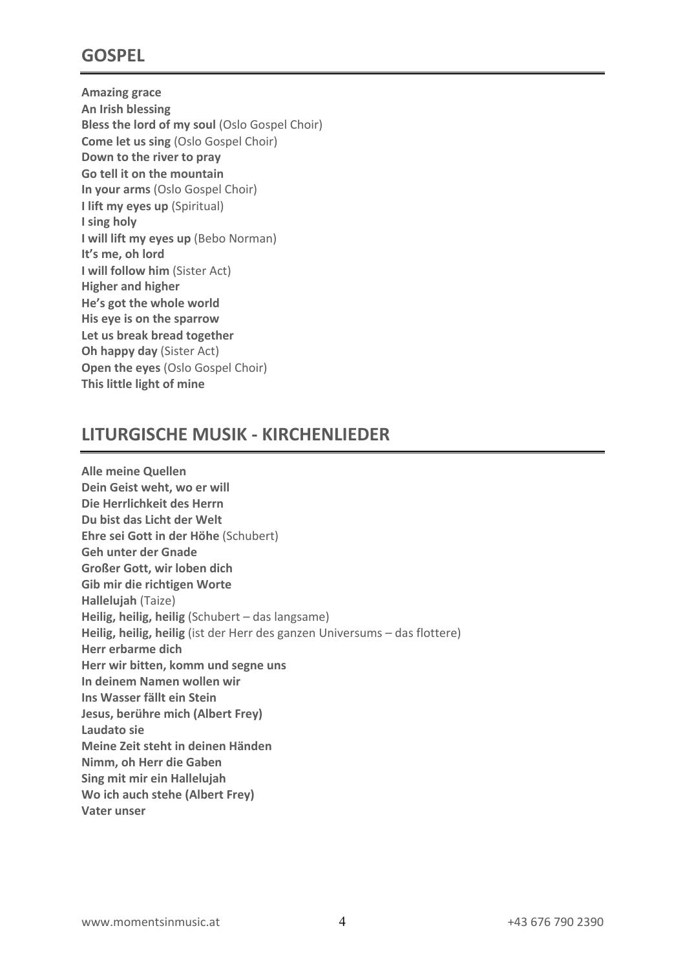# **GOSPEL**

**Amazing grace An Irish blessing Bless the lord of my soul** (Oslo Gospel Choir) **Come let us sing** (Oslo Gospel Choir) **Down to the river to pray Go tell it on the mountain In your arms** (Oslo Gospel Choir) **I lift my eyes up** (Spiritual) **I sing holy I will lift my eyes up** (Bebo Norman) **It's me, oh lord I will follow him** (Sister Act) **Higher and higher He's got the whole world His eye is on the sparrow Let us break bread together Oh happy day** (Sister Act) **Open the eyes** (Oslo Gospel Choir) **This little light of mine**

## **LITURGISCHE MUSIK - KIRCHENLIEDER**

**Alle meine Quellen Dein Geist weht, wo er will Die Herrlichkeit des Herrn Du bist das Licht der Welt Ehre sei Gott in der Höhe** (Schubert) **Geh unter der Gnade Großer Gott, wir loben dich Gib mir die richtigen Worte Hallelujah** (Taize) **Heilig, heilig, heilig** (Schubert – das langsame) **Heilig, heilig, heilig** (ist der Herr des ganzen Universums – das flottere) **Herr erbarme dich Herr wir bitten, komm und segne uns In deinem Namen wollen wir Ins Wasser fällt ein Stein Jesus, berühre mich (Albert Frey) Laudato sie Meine Zeit steht in deinen Händen Nimm, oh Herr die Gaben Sing mit mir ein Hallelujah Wo ich auch stehe (Albert Frey) Vater unser**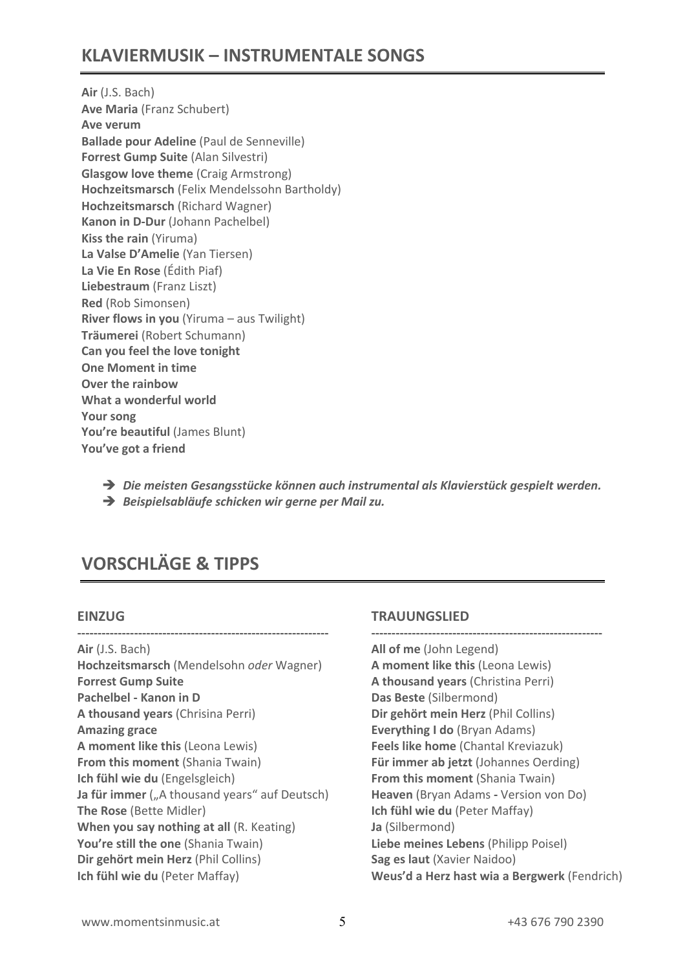# **KLAVIERMUSIK – INSTRUMENTALE SONGS**

**Air** (J.S. Bach) **Ave Maria** (Franz Schubert) **Ave verum Ballade pour Adeline** (Paul de Senneville) **Forrest Gump Suite** (Alan Silvestri) **Glasgow love theme** (Craig Armstrong) **Hochzeitsmarsch** (Felix Mendelssohn Bartholdy) **Hochzeitsmarsch** (Richard Wagner) **Kanon in D-Dur** (Johann Pachelbel) **Kiss the rain** (Yiruma) **La Valse D'Amelie** (Yan Tiersen) **La Vie En Rose** (Édith Piaf) **Liebestraum** (Franz Liszt) **Red** (Rob Simonsen) **River flows in you** (Yiruma – aus Twilight) **Träumerei** (Robert Schumann) **Can you feel the love tonight One Moment in time Over the rainbow What a wonderful world Your song** You're beautiful (James Blunt) **You've got a friend**

! *Die meisten Gesangsstücke können auch instrumental als Klavierstück gespielt werden.*

! *Beispielsabläufe schicken wir gerne per Mail zu.*

# **VORSCHLÄGE & TIPPS**

#### **EINZUG**

**-------------------------------------------------------------- Air** (J.S. Bach) **Hochzeitsmarsch** (Mendelsohn *oder* Wagner) **Forrest Gump Suite Pachelbel - Kanon in D A thousand years** (Chrisina Perri) **Amazing grace A moment like this** (Leona Lewis) **From this moment (Shania Twain) Ich fühl wie du** (Engelsgleich) **Ja für immer** ("A thousand years" auf Deutsch) **The Rose** (Bette Midler) **When you say nothing at all** (R. Keating) **You're still the one** (Shania Twain) **Dir gehört mein Herz** (Phil Collins) **Ich fühl wie du** (Peter Maffay)

#### **TRAUUNGSLIED**

**--------------------------------------------------------- All of me** (John Legend) **A moment like this** (Leona Lewis) **A thousand years** (Christina Perri) **Das Beste** (Silbermond) **Dir gehört mein Herz** (Phil Collins) **Everything I do** (Bryan Adams) **Feels like home** (Chantal Kreviazuk) **Für immer ab jetzt** (Johannes Oerding) **From this moment** (Shania Twain) **Heaven** (Bryan Adams **-** Version von Do) **Ich fühl wie du** (Peter Maffay) **Ja** (Silbermond) **Liebe meines Lebens** (Philipp Poisel) **Sag es laut** (Xavier Naidoo) **Weus'd a Herz hast wia a Bergwerk** (Fendrich)